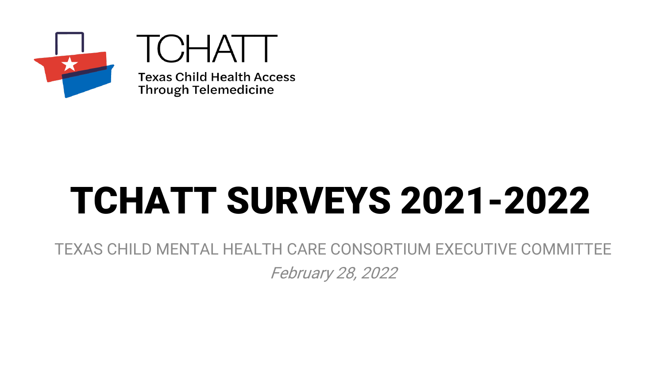

TCHATT **Texas Child Health Access Through Telemedicine** 

# TCHATT SURVEYS 2021-2022

TEXAS CHILD MENTAL HEALTH CARE CONSORTIUM EXECUTIVE COMMITTEE February 28, 2022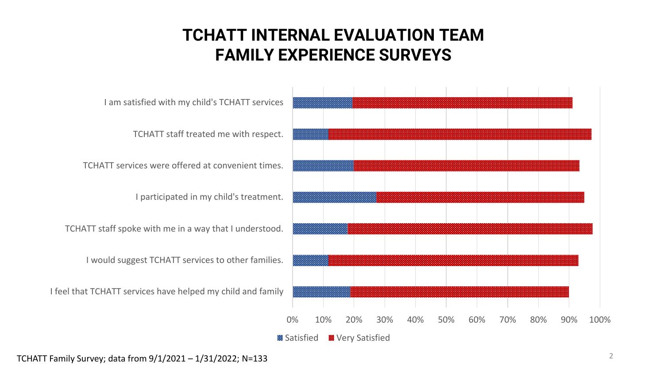## **TCHATT INTERNAL EVALUATION TEAM FAMILY EXPERIENCE SURVEYS**



TCHATT Family Survey; data from 9/1/2021 – 1/31/2022; N=133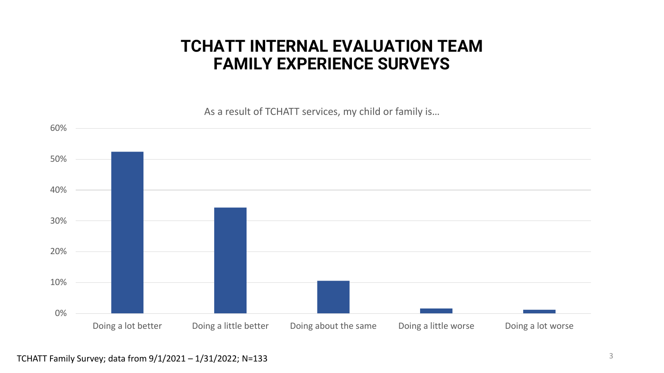#### **TCHATT INTERNAL EVALUATION TEAM FAMILY EXPERIENCE SURVEYS**

As a result of TCHATT services, my child or family is…

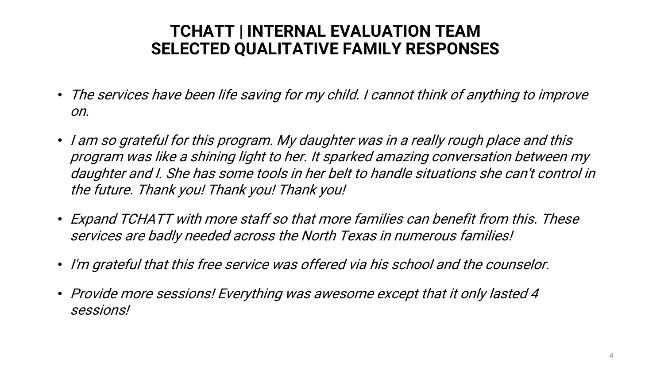## **TCHATT | INTERNAL EVALUATION TEAM SELECTED QUALITATIVE FAMILY RESPONSES**

- The services have been life saving for my child. I cannot think of anything to improve on.
- I am so grateful for this program. My daughter was in a really rough place and this program was like a shining light to her. It sparked amazing conversation between my daughter and I. She has some tools in her belt to handle situations she can't control in the future. Thank you! Thank you! Thank you!
- Expand TCHATT with more staff so that more families can benefit from this. These services are badly needed across the North Texas in numerous families!
- I'm grateful that this free service was offered via his school and the counselor.
- Provide more sessions! Everything was awesome except that it only lasted 4 sessions!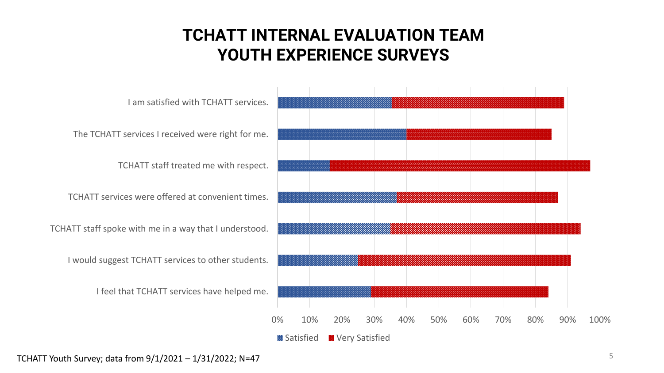## **TCHATT INTERNAL EVALUATION TEAM YOUTH EXPERIENCE SURVEYS**



TCHATT Youth Survey; data from 9/1/2021 – 1/31/2022; N=47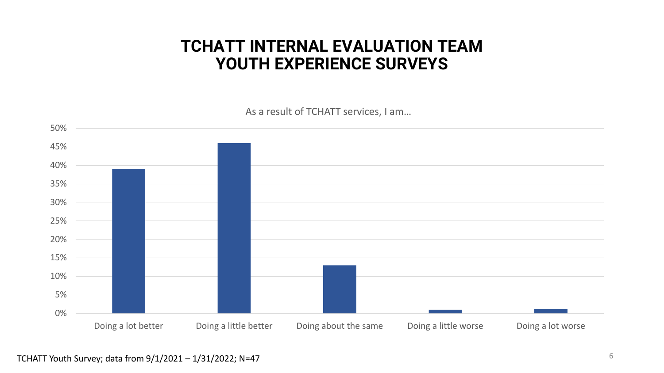#### **TCHATT INTERNAL EVALUATION TEAM YOUTH EXPERIENCE SURVEYS**

As a result of TCHATT services, I am…